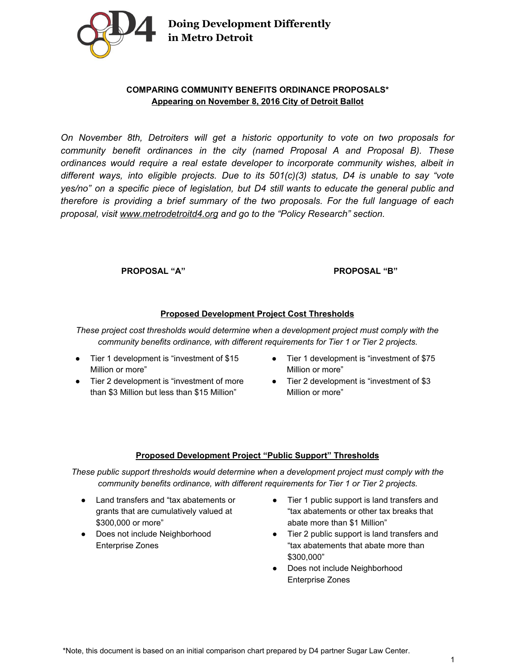

**Doing Development Differently in Metro Detroit**

# **COMPARING COMMUNITY BENEFITS ORDINANCE PROPOSALS\* Appearing on November 8, 2016 City of Detroit Ballot**

*On November 8th, Detroiters will get a historic opportunity to vote on two proposals for community benefit ordinances in the city (named Proposal A and Proposal B). These ordinances would require a real estate developer to incorporate community wishes, albeit in different ways, into eligible projects. Due to its 501(c)(3) status, D4 is unable to say "vote yes/no" on a specific piece of legislation, but D4 still wants to educate the general public and therefore is providing a brief summary of the two proposals. For the full language of each proposal, visit [www.metrodetroitd4.org](http://www.metrodetroitd4.org/) and go to the "Policy Research" section.*

### **PROPOSAL "A" PROPOSAL "B"**

### **Proposed Development Project Cost Thresholds**

*These project cost thresholds would determine when a development project must comply with the community benefits ordinance, with different requirements for Tier 1 or Tier 2 projects.*

- Tier 1 development is "investment of \$15 Million or more"
- Tier 2 development is "investment of more than \$3 Million but less than \$15 Million"
- Tier 1 development is "investment of \$75 Million or more"
- Tier 2 development is "investment of \$3 Million or more"

#### **Proposed Development Project "Public Support" Thresholds**

*These public support thresholds would determine when a development project must comply with the community benefits ordinance, with different requirements for Tier 1 or Tier 2 projects.*

- Land transfers and "tax abatements or grants that are cumulatively valued at \$300,000 or more"
- Does not include Neighborhood Enterprise Zones
- Tier 1 public support is land transfers and "tax abatements or other tax breaks that abate more than \$1 Million"
- Tier 2 public support is land transfers and "tax abatements that abate more than \$300,000"
- Does not include Neighborhood Enterprise Zones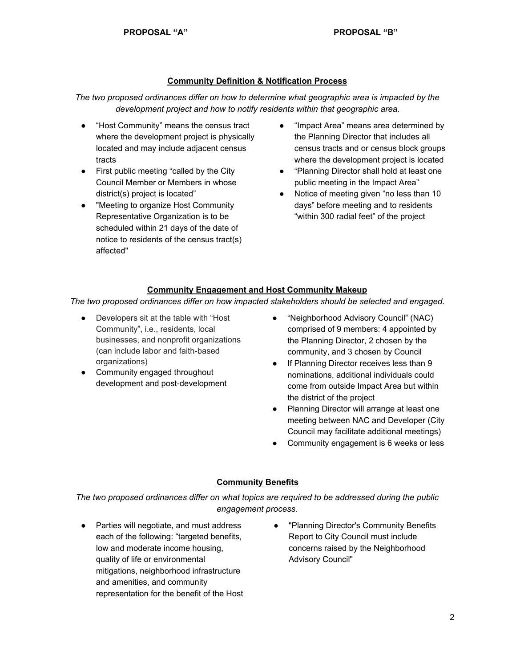### **Community Definition & Notification Process**

*The two proposed ordinances differ on how to determine what geographic area is impacted by the development project and how to notify residents within that geographic area.*

- "Host Community" means the census tract where the development project is physically located and may include adjacent census tracts
- First public meeting "called by the City Council Member or Members in whose district(s) project is located"
- "Meeting to organize Host Community Representative Organization is to be scheduled within 21 days of the date of notice to residents of the census tract(s) affected"
- "Impact Area" means area determined by the Planning Director that includes all census tracts and or census block groups where the development project is located
- "Planning Director shall hold at least one public meeting in the Impact Area"
- Notice of meeting given "no less than 10 days" before meeting and to residents "within 300 radial feet" of the project

# **Community Engagement and Host Community Makeup**

*The two proposed ordinances differ on how impacted stakeholders should be selected and engaged.*

- Developers sit at the table with "Host" Community", i.e., residents, local businesses, and nonprofit organizations (can include labor and faith-based organizations)
- Community engaged throughout development and post-development
- "Neighborhood Advisory Council" (NAC) comprised of 9 members: 4 appointed by the Planning Director, 2 chosen by the community, and 3 chosen by Council
- If Planning Director receives less than 9 nominations, additional individuals could come from outside Impact Area but within the district of the project
- Planning Director will arrange at least one meeting between NAC and Developer (City Council may facilitate additional meetings)
- Community engagement is 6 weeks or less

# **Community Benefits**

*The two proposed ordinances differ on what topics are required to be addressed during the public engagement process.*

- Parties will negotiate, and must address each of the following: "targeted benefits, low and moderate income housing, quality of life or environmental mitigations, neighborhood infrastructure and amenities, and community representation for the benefit of the Host
- "Planning Director's Community Benefits Report to City Council must include concerns raised by the Neighborhood Advisory Council"